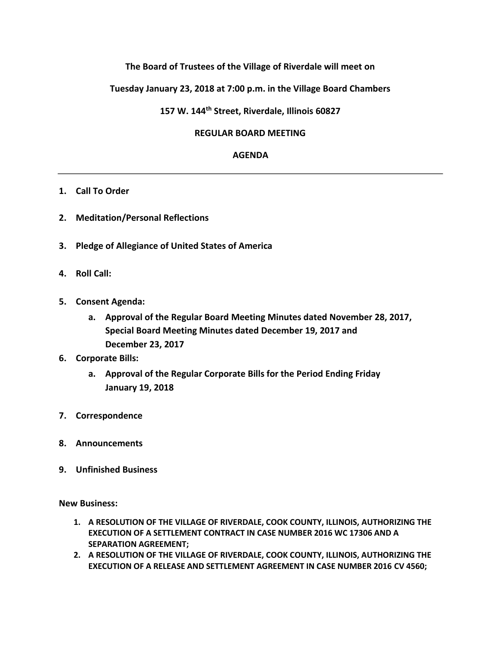# **The Board of Trustees of the Village of Riverdale will meet on**

## **Tuesday January 23, 2018 at 7:00 p.m. in the Village Board Chambers**

## **157 W. 144th Street, Riverdale, Illinois 60827**

### **REGULAR BOARD MEETING**

#### **AGENDA**

### **1. Call To Order**

- **2. Meditation/Personal Reflections**
- **3. Pledge of Allegiance of United States of America**
- **4. Roll Call:**
- **5. Consent Agenda:** 
	- **a. Approval of the Regular Board Meeting Minutes dated November 28, 2017, Special Board Meeting Minutes dated December 19, 2017 and December 23, 2017**
- **6. Corporate Bills:** 
	- **a. Approval of the Regular Corporate Bills for the Period Ending Friday January 19, 2018**
- **7. Correspondence**
- **8. Announcements**
- **9. Unfinished Business**

**New Business:**

- **1. A RESOLUTION OF THE VILLAGE OF RIVERDALE, COOK COUNTY, ILLINOIS, AUTHORIZING THE EXECUTION OF A SETTLEMENT CONTRACT IN CASE NUMBER 2016 WC 17306 AND A SEPARATION AGREEMENT;**
- **2. A RESOLUTION OF THE VILLAGE OF RIVERDALE, COOK COUNTY, ILLINOIS, AUTHORIZING THE EXECUTION OF A RELEASE AND SETTLEMENT AGREEMENT IN CASE NUMBER 2016 CV 4560;**